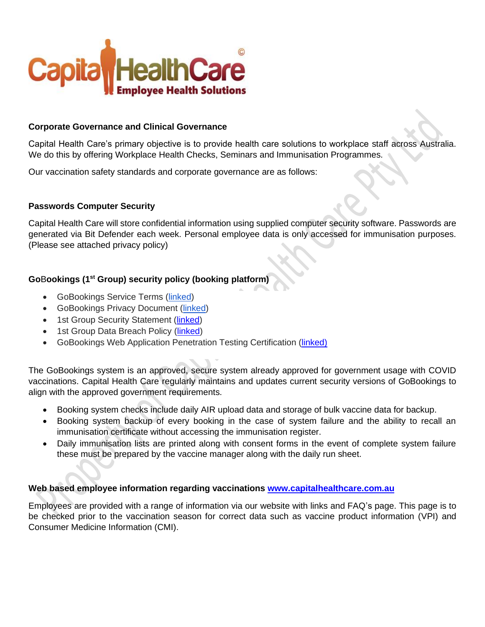

# **Corporate Governance and Clinical Governance**

Capital Health Care's primary objective is to provide health care solutions to workplace staff across Australia. We do this by offering Workplace Health Checks, Seminars and Immunisation Programmes.

Our vaccination safety standards and corporate governance are as follows:

#### **Passwords Computer Security**

Capital Health Care will store confidential information using supplied computer security software. Passwords are generated via Bit Defender each week. Personal employee data is only accessed for immunisation purposes. (Please see attached privacy policy)

# **Go**B**ookings (1st Group) security policy (booking platform)**

- GoBookings Service Terms [\(linked\)](https://www.gobookings.com.au/terms-of-service)
- GoBookings Privacy Document [\(linked\)](https://www.gobookings.com.au/privacy)
- 1st Group Security Statement [\(linked\)](https://1stgrp.box.com/s/jjt2jsyzxkq8nhev9rvh3w5b6a8b9zyt)
- 1st Group Data Breach Policy [\(linked\)](https://1stgrp.box.com/s/m5vn7w4rwu69wzu9acxikfxnbhmu0sng)
- GoBookings Web Application Penetration Testing Certification (*linked)*

The GoBookings system is an approved, secure system already approved for government usage with COVID vaccinations. Capital Health Care regularly maintains and updates current security versions of GoBookings to align with the approved government requirements.

- Booking system checks include daily AIR upload data and storage of bulk vaccine data for backup.
- Booking system backup of every booking in the case of system failure and the ability to recall an immunisation certificate without accessing the immunisation register.
- Daily immunisation lists are printed along with consent forms in the event of complete system failure these must be prepared by the vaccine manager along with the daily run sheet.

# **Web based employee information regarding vaccinations [www.capitalhealthcare.com.au](http://www.capitalhealthcare.com.au/)**

Employees are provided with a range of information via our website with links and FAQ's page. This page is to be checked prior to the vaccination season for correct data such as vaccine product information (VPI) and Consumer Medicine Information (CMI).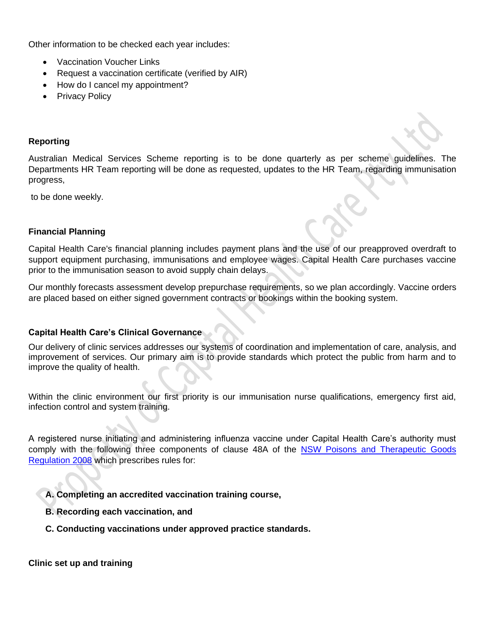Other information to be checked each year includes:

- Vaccination Voucher Links
- Request a vaccination certificate (verified by AIR)
- How do I cancel my appointment?
- Privacy Policy

#### **Reporting**

Australian Medical Services Scheme reporting is to be done quarterly as per scheme guidelines. The Departments HR Team reporting will be done as requested, updates to the HR Team, regarding immunisation progress,

to be done weekly.

#### **Financial Planning**

Capital Health Care's financial planning includes payment plans and the use of our preapproved overdraft to support equipment purchasing, immunisations and employee wages. Capital Health Care purchases vaccine prior to the immunisation season to avoid supply chain delays.

Our monthly forecasts assessment develop prepurchase requirements, so we plan accordingly. Vaccine orders are placed based on either signed government contracts or bookings within the booking system.

# **Capital Health Care's Clinical Governance**

Our delivery of clinic services addresses our systems of coordination and implementation of care, analysis, and improvement of services. Our primary aim is to provide standards which protect the public from harm and to improve the quality of health.

Within the clinic environment our first priority is our immunisation nurse qualifications, emergency first aid, infection control and system training.

A registered nurse initiating and administering influenza vaccine under Capital Health Care's authority must comply with the following three components of clause 48A of the [NSW Poisons and Therapeutic Goods](http://www.legislation.nsw.qov.au/maintop/view/inforce/subordleq+392+2008+cd+0+N)  [Regulation 2008](http://www.legislation.nsw.qov.au/maintop/view/inforce/subordleq+392+2008+cd+0+N) which prescribes rules for:

**A. Completing an accredited vaccination training course,**

- **B. Recording each vaccination, and**
- **C. Conducting vaccinations under approved practice standards.**

**Clinic set up and training**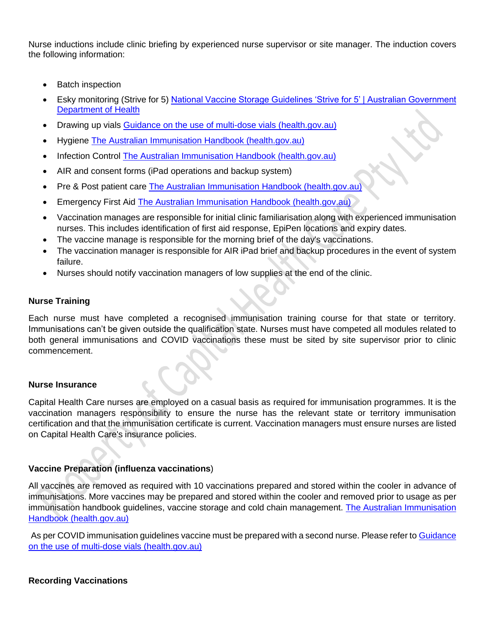Nurse inductions include clinic briefing by experienced nurse supervisor or site manager. The induction covers the following information:

- **Batch inspection**
- Esky monitoring (Strive for 5) National Vaccine Storage Guidelines 'Strive for 5' | Australian Government [Department of Health](https://www.health.gov.au/resources/publications/national-vaccine-storage-guidelines-strive-for-5)
- Drawing up vials Guidance on the use [of multi-dose vials \(health.gov.au\)](https://www.health.gov.au/sites/default/files/documents/2021/05/covid-19-vaccination-atagi-guidance-on-the-use-of-multi-dose-vials-for-covid-19-vaccination-covid-19-vaccination-atagi-guidance-on-the-use-of-multi-dose-vials-for-covid-19-vaccination.pdf)
- Hygiene [The Australian Immunisation Handbook \(health.gov.au\)](https://immunisationhandbook.health.gov.au/)
- Infection Control [The Australian Immunisation Handbook \(health.gov.au\)](https://immunisationhandbook.health.gov.au/)
- AIR and consent forms (iPad operations and backup system)
- Pre & Post patient care [The Australian Immunisation Handbook \(health.gov.au\)](https://immunisationhandbook.health.gov.au/)
- Emergency First Aid [The Australian Immunisation Handbook \(health.gov.au\)](https://immunisationhandbook.health.gov.au/)
- Vaccination manages are responsible for initial clinic familiarisation along with experienced immunisation nurses. This includes identification of first aid response, EpiPen locations and expiry dates.
- The vaccine manage is responsible for the morning brief of the day's vaccinations.
- The vaccination manager is responsible for AIR iPad brief and backup procedures in the event of system failure.
- Nurses should notify vaccination managers of low supplies at the end of the clinic.

#### **Nurse Training**

Each nurse must have completed a recognised immunisation training course for that state or territory. Immunisations can't be given outside the qualification state. Nurses must have competed all modules related to both general immunisations and COVID vaccinations these must be sited by site supervisor prior to clinic commencement.

# **Nurse Insurance**

Capital Health Care nurses are employed on a casual basis as required for immunisation programmes. It is the vaccination managers responsibility to ensure the nurse has the relevant state or territory immunisation certification and that the immunisation certificate is current. Vaccination managers must ensure nurses are listed on Capital Health Care's insurance policies.

# **Vaccine Preparation (influenza vaccinations**)

All vaccines are removed as required with 10 vaccinations prepared and stored within the cooler in advance of immunisations. More vaccines may be prepared and stored within the cooler and removed prior to usage as per immunisation handbook guidelines, vaccine storage and cold chain management. [The Australian Immunisation](https://immunisationhandbook.health.gov.au/)  [Handbook \(health.gov.au\)](https://immunisationhandbook.health.gov.au/)

As per COVID immunisation guidelines vaccine must be prepared with a second nurse. Please refer to Guidance [on the use of multi-dose vials \(health.gov.au\)](https://www.health.gov.au/sites/default/files/documents/2021/05/covid-19-vaccination-atagi-guidance-on-the-use-of-multi-dose-vials-for-covid-19-vaccination-covid-19-vaccination-atagi-guidance-on-the-use-of-multi-dose-vials-for-covid-19-vaccination.pdf)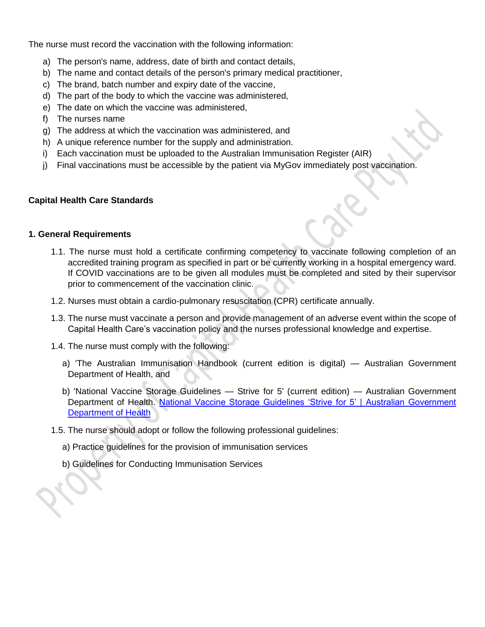The nurse must record the vaccination with the following information:

- a) The person's name, address, date of birth and contact details,
- b) The name and contact details of the person's primary medical practitioner,
- c) The brand, batch number and expiry date of the vaccine,
- d) The part of the body to which the vaccine was administered,
- e) The date on which the vaccine was administered,
- f) The nurses name
- g) The address at which the vaccination was administered, and
- h) A unique reference number for the supply and administration.
- i) Each vaccination must be uploaded to the Australian Immunisation Register (AIR)
- j) Final vaccinations must be accessible by the patient via MyGov immediately post vaccination.

#### **Capital Health Care Standards**

#### **1. General Requirements**

- 1.1. The nurse must hold a certificate confirming competency to vaccinate following completion of an accredited training program as specified in part or be currently working in a hospital emergency ward. If COVID vaccinations are to be given all modules must be completed and sited by their supervisor prior to commencement of the vaccination clinic.
- 1.2. Nurses must obtain a cardio-pulmonary resuscitation (CPR) certificate annually.
- 1.3. The nurse must vaccinate a person and provide management of an adverse event within the scope of Capital Health Care's vaccination policy and the nurses professional knowledge and expertise.
- 1.4. The nurse must comply with the following:
	- a) 'The Australian Immunisation Handbook (current edition is digital) Australian Government Department of Health, and
	- b) 'National Vaccine Storage Guidelines Strive for 5' (current edition) Australian Government Department of Health. National Vaccine Storage Guidelines 'Strive for 5' | Australian Government [Department of Health](https://www.health.gov.au/resources/publications/national-vaccine-storage-guidelines-strive-for-5)
- 1.5. The nurse should adopt or follow the following professional guidelines:
	- a) Practice guidelines for the provision of immunisation services
	- b) Guidelines for Conducting Immunisation Services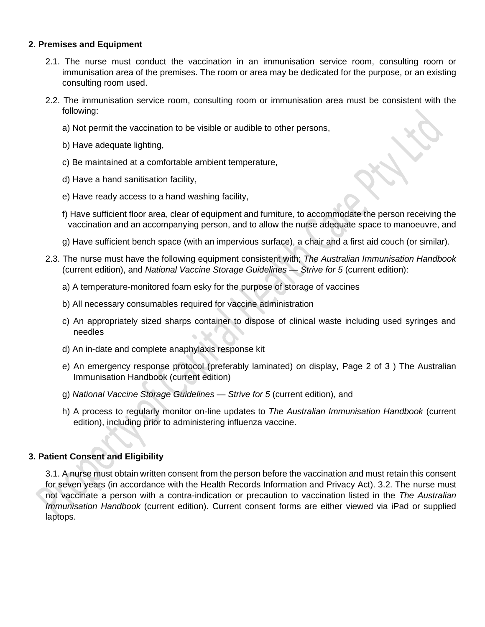# **2. Premises and Equipment**

- 2.1. The nurse must conduct the vaccination in an immunisation service room, consulting room or immunisation area of the premises. The room or area may be dedicated for the purpose, or an existing consulting room used.
- 2.2. The immunisation service room, consulting room or immunisation area must be consistent with the following:
	- a) Not permit the vaccination to be visible or audible to other persons,
	- b) Have adequate lighting,
	- c) Be maintained at a comfortable ambient temperature,
	- d) Have a hand sanitisation facility,
	- e) Have ready access to a hand washing facility,
	- f) Have sufficient floor area, clear of equipment and furniture, to accommodate the person receiving the vaccination and an accompanying person, and to allow the nurse adequate space to manoeuvre, and
	- g) Have sufficient bench space (with an impervious surface), a chair and a first aid couch (or similar).
- 2.3. The nurse must have the following equipment consistent with; *The Australian Immunisation Handbook* (current edition), and *National Vaccine Storage Guidelines — Strive for 5* (current edition):
	- a) A temperature-monitored foam esky for the purpose of storage of vaccines
	- b) All necessary consumables required for vaccine administration
	- c) An appropriately sized sharps container to dispose of clinical waste including used syringes and needles
	- d) An in-date and complete anaphylaxis response kit
	- e) An emergency response protocol (preferably laminated) on display, Page 2 of 3 ) The Australian Immunisation Handbook (current edition)
	- g) *National Vaccine Storage Guidelines — Strive for 5* (current edition), and
	- h) A process to regularly monitor on-line updates to *The Australian Immunisation Handbook* (current edition), including prior to administering influenza vaccine.

#### **3. Patient Consent and Eligibility**

3.1. A nurse must obtain written consent from the person before the vaccination and must retain this consent for seven years (in accordance with the Health Records Information and Privacy Act). 3.2. The nurse must not vaccinate a person with a contra-indication or precaution to vaccination listed in the *The Australian Immunisation Handbook* (current edition). Current consent forms are either viewed via iPad or supplied laptops.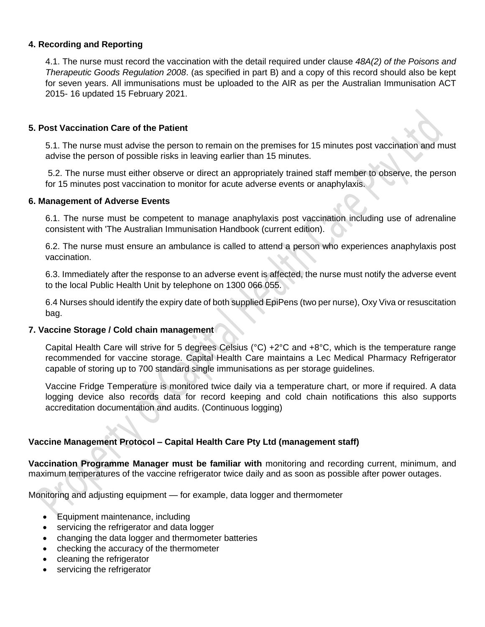### **4. Recording and Reporting**

4.1. The nurse must record the vaccination with the detail required under clause *48A(2) of the Poisons and Therapeutic Goods Regulation 2008*. (as specified in part B) and a copy of this record should also be kept for seven years. All immunisations must be uploaded to the AIR as per the Australian Immunisation ACT 2015- 16 updated 15 February 2021.

#### **5. Post Vaccination Care of the Patient**

5.1. The nurse must advise the person to remain on the premises for 15 minutes post vaccination and must advise the person of possible risks in leaving earlier than 15 minutes.

5.2. The nurse must either observe or direct an appropriately trained staff member to observe, the person for 15 minutes post vaccination to monitor for acute adverse events or anaphylaxis.

#### **6. Management of Adverse Events**

6.1. The nurse must be competent to manage anaphylaxis post vaccination including use of adrenaline consistent with 'The Australian Immunisation Handbook (current edition).

6.2. The nurse must ensure an ambulance is called to attend a person who experiences anaphylaxis post vaccination.

6.3. Immediately after the response to an adverse event is affected, the nurse must notify the adverse event to the local Public Health Unit by telephone on 1300 066 055.

6.4 Nurses should identify the expiry date of both supplied EpiPens (two per nurse), Oxy Viva or resuscitation bag.

#### **7. Vaccine Storage / Cold chain management**

Capital Health Care will strive for 5 degrees Celsius (°C) +2°C and +8°C, which is the temperature range recommended for vaccine storage. Capital Health Care maintains a Lec Medical Pharmacy Refrigerator capable of storing up to 700 standard single immunisations as per storage guidelines.

Vaccine Fridge Temperature is monitored twice daily via a temperature chart, or more if required. A data logging device also records data for record keeping and cold chain notifications this also supports accreditation documentation and audits. (Continuous logging)

# **Vaccine Management Protocol – Capital Health Care Pty Ltd (management staff)**

**Vaccination Programme Manager must be familiar with** monitoring and recording current, minimum, and maximum temperatures of the vaccine refrigerator twice daily and as soon as possible after power outages.

Monitoring and adjusting equipment — for example, data logger and thermometer

- Equipment maintenance, including
- servicing the refrigerator and data logger
- changing the data logger and thermometer batteries
- checking the accuracy of the thermometer
- cleaning the refrigerator
- servicing the refrigerator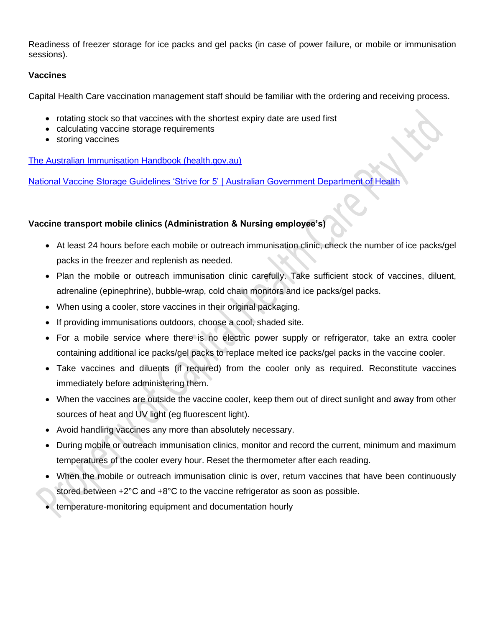Readiness of freezer storage for ice packs and gel packs (in case of power failure, or mobile or immunisation sessions).

# **Vaccines**

Capital Health Care vaccination management staff should be familiar with the ordering and receiving process.

- rotating stock so that vaccines with the shortest expiry date are used first
- calculating vaccine storage requirements
- storing vaccines

[The Australian Immunisation Handbook \(health.gov.au\)](https://immunisationhandbook.health.gov.au/)

[National Vaccine Storage Guidelines 'Strive for 5' | Australian Government Department of Health](https://www.health.gov.au/resources/publications/national-vaccine-storage-guidelines-strive-for-5)

# **Vaccine transport mobile clinics (Administration & Nursing employee's)**

- At least 24 hours before each mobile or outreach immunisation clinic, check the number of ice packs/gel packs in the freezer and replenish as needed.
- Plan the mobile or outreach immunisation clinic carefully. Take sufficient stock of vaccines, diluent, adrenaline (epinephrine), bubble-wrap, cold chain monitors and ice packs/gel packs.
- When using a cooler, store vaccines in their original packaging.
- If providing immunisations outdoors, choose a cool, shaded site.
- For a mobile service where there is no electric power supply or refrigerator, take an extra cooler containing additional ice packs/gel packs to replace melted ice packs/gel packs in the vaccine cooler.
- Take vaccines and diluents (if required) from the cooler only as required. Reconstitute vaccines immediately before administering them.
- When the vaccines are outside the vaccine cooler, keep them out of direct sunlight and away from other sources of heat and UV light (eg fluorescent light).
- Avoid handling vaccines any more than absolutely necessary.
- During mobile or outreach immunisation clinics, monitor and record the current, minimum and maximum temperatures of the cooler every hour. Reset the thermometer after each reading.
- When the mobile or outreach immunisation clinic is over, return vaccines that have been continuously stored between +2°C and +8°C to the vaccine refrigerator as soon as possible.
- temperature-monitoring equipment and documentation hourly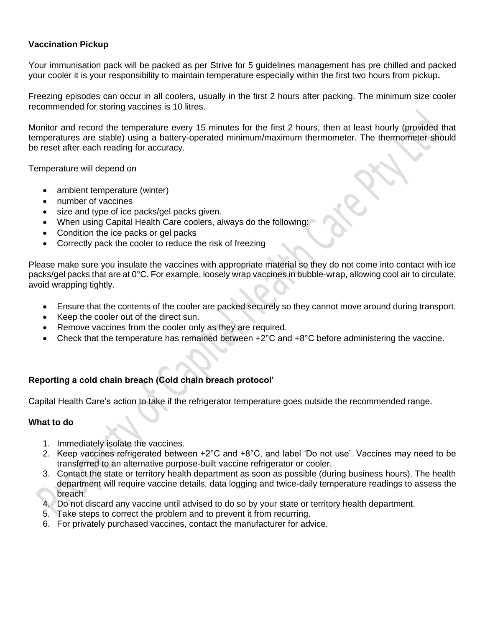# **Vaccination Pickup**

Your immunisation pack will be packed as per Strive for 5 guidelines management has pre chilled and packed your cooler it is your responsibility to maintain temperature especially within the first two hours from pickup**.**

Freezing episodes can occur in all coolers, usually in the first 2 hours after packing. The minimum size cooler recommended for storing vaccines is 10 litres.

Monitor and record the temperature every 15 minutes for the first 2 hours, then at least hourly (provided that temperatures are stable) using a battery-operated minimum/maximum thermometer. The thermometer should be reset after each reading for accuracy.

Temperature will depend on

- ambient temperature (winter)
- number of vaccines
- size and type of ice packs/gel packs given.
- When using Capital Health Care coolers, always do the following:
- Condition the ice packs or gel packs
- Correctly pack the cooler to reduce the risk of freezing

Please make sure you insulate the vaccines with appropriate material so they do not come into contact with ice packs/gel packs that are at 0°C. For example, loosely wrap vaccines in bubble-wrap, allowing cool air to circulate; avoid wrapping tightly.

- Ensure that the contents of the cooler are packed securely so they cannot move around during transport.
- Keep the cooler out of the direct sun.
- Remove vaccines from the cooler only as they are required.
- Check that the temperature has remained between +2°C and +8°C before administering the vaccine.

# **Reporting a cold chain breach (Cold chain breach protocol'**

Capital Health Care's action to take if the refrigerator temperature goes outside the recommended range.

# **What to do**

- 1. Immediately isolate the vaccines.
- 2. Keep vaccines refrigerated between +2°C and +8°C, and label 'Do not use'. Vaccines may need to be transferred to an alternative purpose-built vaccine refrigerator or cooler.
- 3. Contact the state or territory health department as soon as possible (during business hours). The health department will require vaccine details, data logging and twice-daily temperature readings to assess the breach.
- 4. Do not discard any vaccine until advised to do so by your state or territory health department.
- 5. Take steps to correct the problem and to prevent it from recurring.
- 6. For privately purchased vaccines, contact the manufacturer for advice.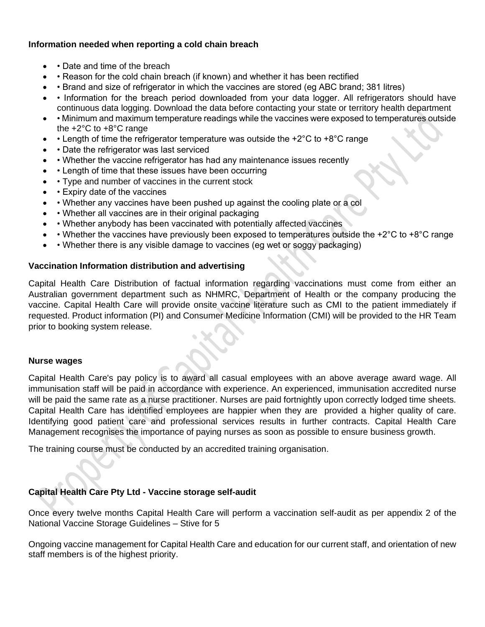# **Information needed when reporting a cold chain breach**

- Date and time of the breach
- • Reason for the cold chain breach (if known) and whether it has been rectified
- • Brand and size of refrigerator in which the vaccines are stored (eg ABC brand; 381 litres)
- Information for the breach period downloaded from your data logger. All refrigerators should have continuous data logging. Download the data before contacting your state or territory health department
- • Minimum and maximum temperature readings while the vaccines were exposed to temperatures outside the +2°C to +8°C range
- • Length of time the refrigerator temperature was outside the  $+2^{\circ}$ C to  $+8^{\circ}$ C range
- Date the refrigerator was last serviced
- • Whether the vaccine refrigerator has had any maintenance issues recently
- Length of time that these issues have been occurring
- • Type and number of vaccines in the current stock
- Expiry date of the vaccines
- • Whether any vaccines have been pushed up against the cooling plate or a col
- Whether all vaccines are in their original packaging
- • Whether anybody has been vaccinated with potentially affected vaccines
- Whether the vaccines have previously been exposed to temperatures outside the +2°C to +8°C range
- • Whether there is any visible damage to vaccines (eg wet or soggy packaging)

# **Vaccination Information distribution and advertising**

Capital Health Care Distribution of factual information regarding vaccinations must come from either an Australian government department such as NHMRC, Department of Health or the company producing the vaccine. Capital Health Care will provide onsite vaccine literature such as CMI to the patient immediately if requested. Product information (PI) and Consumer Medicine Information (CMI) will be provided to the HR Team prior to booking system release.

# **Nurse wages**

Capital Health Care's pay policy is to award all casual employees with an above average award wage. All immunisation staff will be paid in accordance with experience. An experienced, immunisation accredited nurse will be paid the same rate as a nurse practitioner. Nurses are paid fortnightly upon correctly lodged time sheets. Capital Health Care has identified employees are happier when they are provided a higher quality of care. Identifying good patient care and professional services results in further contracts. Capital Health Care Management recognises the importance of paying nurses as soon as possible to ensure business growth.

The training course must be conducted by an accredited training organisation.

# **Capital Health Care Pty Ltd - Vaccine storage self-audit**

Once every twelve months Capital Health Care will perform a vaccination self-audit as per appendix 2 of the National Vaccine Storage Guidelines – Stive for 5

Ongoing vaccine management for Capital Health Care and education for our current staff, and orientation of new staff members is of the highest priority.